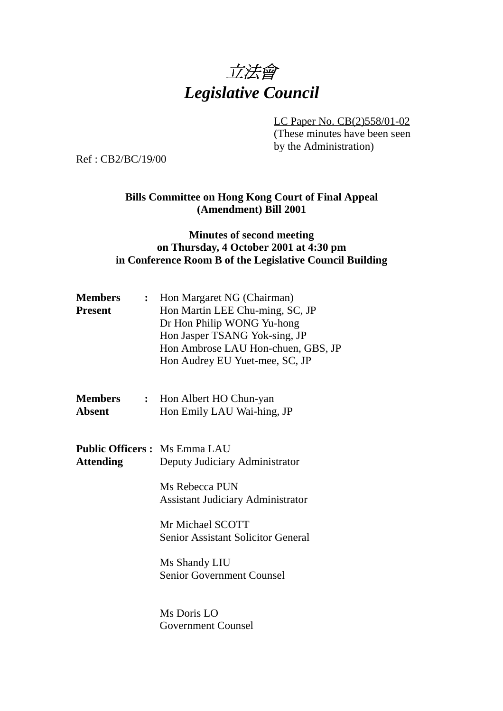

LC Paper No. CB(2)558/01-02 (These minutes have been seen by the Administration)

Ref : CB2/BC/19/00

## **Bills Committee on Hong Kong Court of Final Appeal (Amendment) Bill 2001**

## **Minutes of second meeting on Thursday, 4 October 2001 at 4:30 pm in Conference Room B of the Legislative Council Building**

| Members<br><b>Present</b> | : Hon Margaret NG (Chairman)<br>Hon Martin LEE Chu-ming, SC, JP<br>Dr Hon Philip WONG Yu-hong<br>Hon Jasper TSANG Yok-sing, JP<br>Hon Ambrose LAU Hon-chuen, GBS, JP<br>Hon Audrey EU Yuet-mee, SC, JP |
|---------------------------|--------------------------------------------------------------------------------------------------------------------------------------------------------------------------------------------------------|
| <b>Absent</b>             | <b>Members : Hon Albert HO Chun-yan</b><br>Hon Emily LAU Wai-hing, JP                                                                                                                                  |
| <b>Attending</b>          | <b>Public Officers: Ms Emma LAU</b><br>Deputy Judiciary Administrator                                                                                                                                  |
|                           | Ms Rebecca PUN<br><b>Assistant Judiciary Administrator</b>                                                                                                                                             |
|                           | Mr Michael SCOTT<br><b>Senior Assistant Solicitor General</b>                                                                                                                                          |
|                           | Ms Shandy LIU<br><b>Senior Government Counsel</b>                                                                                                                                                      |
|                           | Ms Doris LO<br><b>Government Counsel</b>                                                                                                                                                               |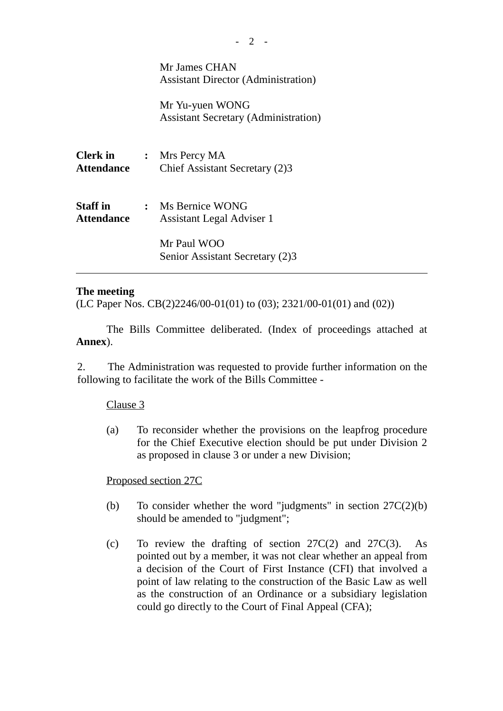|                               | Mr James CHAN<br><b>Assistant Director (Administration)</b>    |
|-------------------------------|----------------------------------------------------------------|
|                               | Mr Yu-yuen WONG<br><b>Assistant Secretary (Administration)</b> |
| <b>Clerk in</b><br>Attendance | $\therefore$ Mrs Percy MA<br>Chief Assistant Secretary (2)3    |
| <b>Staff in</b><br>Attendance | : Ms Bernice WONG<br>Assistant Legal Adviser 1                 |
|                               | Mr Paul WOO<br>Senior Assistant Secretary (2)3                 |

### **The meeting**

(LC Paper Nos. CB(2)2246/00-01(01) to (03); 2321/00-01(01) and (02))

The Bills Committee deliberated. (Index of proceedings attached at **Annex**).

2. The Administration was requested to provide further information on the following to facilitate the work of the Bills Committee -

#### Clause 3

(a) To reconsider whether the provisions on the leapfrog procedure for the Chief Executive election should be put under Division 2 as proposed in clause 3 or under a new Division;

#### Proposed section 27C

- (b) To consider whether the word "judgments" in section  $27C(2)(b)$ should be amended to "judgment";
- (c) To review the drafting of section  $27C(2)$  and  $27C(3)$ . As pointed out by a member, it was not clear whether an appeal from a decision of the Court of First Instance (CFI) that involved a point of law relating to the construction of the Basic Law as well as the construction of an Ordinance or a subsidiary legislation could go directly to the Court of Final Appeal (CFA);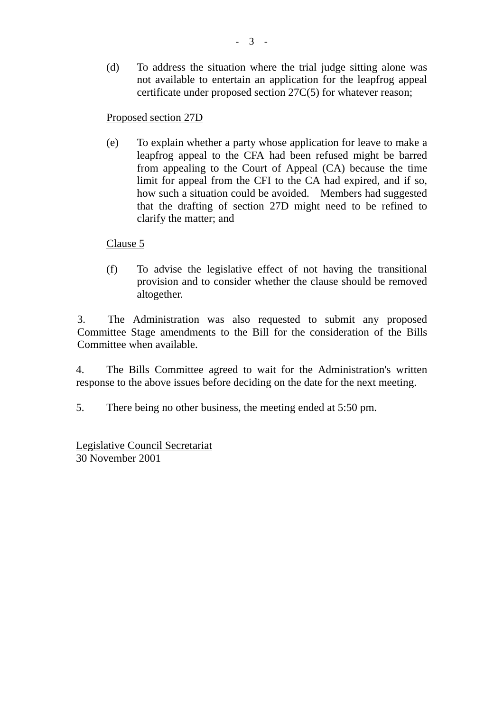(d) To address the situation where the trial judge sitting alone was not available to entertain an application for the leapfrog appeal certificate under proposed section 27C(5) for whatever reason;

## Proposed section 27D

(e) To explain whether a party whose application for leave to make a leapfrog appeal to the CFA had been refused might be barred from appealing to the Court of Appeal (CA) because the time limit for appeal from the CFI to the CA had expired, and if so, how such a situation could be avoided. Members had suggested that the drafting of section 27D might need to be refined to clarify the matter; and

Clause 5

(f) To advise the legislative effect of not having the transitional provision and to consider whether the clause should be removed altogether.

3. The Administration was also requested to submit any proposed Committee Stage amendments to the Bill for the consideration of the Bills Committee when available.

4. The Bills Committee agreed to wait for the Administration's written response to the above issues before deciding on the date for the next meeting.

5. There being no other business, the meeting ended at 5:50 pm.

Legislative Council Secretariat 30 November 2001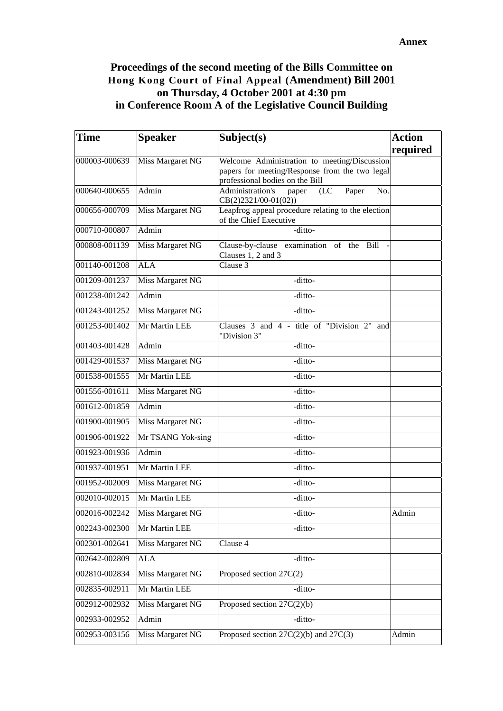## **Proceedings of the second meeting of the Bills Committee on Hong Kong Court of Final Appeal (Amendment) Bill 2001 on Thursday, 4 October 2001 at 4:30 pm in Conference Room A of the Legislative Council Building**

| <b>Time</b>   | <b>Speaker</b>          | Subject(s)                                                                                                                        | <b>Action</b> |
|---------------|-------------------------|-----------------------------------------------------------------------------------------------------------------------------------|---------------|
|               |                         |                                                                                                                                   | required      |
| 000003-000639 | Miss Margaret NG        | Welcome Administration to meeting/Discussion<br>papers for meeting/Response from the two legal<br>professional bodies on the Bill |               |
| 000640-000655 | Admin                   | Administration's<br>Paper<br>No.<br>(LC)<br>paper<br>$CB(2)2321/00-01(02))$                                                       |               |
| 000656-000709 | Miss Margaret NG        | Leapfrog appeal procedure relating to the election<br>of the Chief Executive                                                      |               |
| 000710-000807 | Admin                   | -ditto-                                                                                                                           |               |
| 000808-001139 | Miss Margaret NG        | Clause-by-clause examination of the Bill<br>Clauses 1, 2 and 3                                                                    |               |
| 001140-001208 | <b>ALA</b>              | Clause 3                                                                                                                          |               |
| 001209-001237 | Miss Margaret NG        | -ditto-                                                                                                                           |               |
| 001238-001242 | Admin                   | -ditto-                                                                                                                           |               |
| 001243-001252 | Miss Margaret NG        | -ditto-                                                                                                                           |               |
| 001253-001402 | Mr Martin LEE           | Clauses $3$ and $4$ - title of "Division $2$ "<br>and<br>"Division 3"                                                             |               |
| 001403-001428 | Admin                   | -ditto-                                                                                                                           |               |
| 001429-001537 | Miss Margaret NG        | -ditto-                                                                                                                           |               |
| 001538-001555 | Mr Martin LEE           | -ditto-                                                                                                                           |               |
| 001556-001611 | Miss Margaret NG        | -ditto-                                                                                                                           |               |
| 001612-001859 | Admin                   | -ditto-                                                                                                                           |               |
| 001900-001905 | Miss Margaret NG        | -ditto-                                                                                                                           |               |
| 001906-001922 | Mr TSANG Yok-sing       | -ditto-                                                                                                                           |               |
| 001923-001936 | Admin                   | -ditto-                                                                                                                           |               |
| 001937-001951 | Mr Martin LEE           | -ditto-                                                                                                                           |               |
| 001952-002009 | Miss Margaret NG        | -ditto-                                                                                                                           |               |
| 002010-002015 | Mr Martin LEE           | -ditto-                                                                                                                           |               |
| 002016-002242 | Miss Margaret NG        | -ditto-                                                                                                                           | Admin         |
| 002243-002300 | Mr Martin LEE           | -ditto-                                                                                                                           |               |
| 002301-002641 | Miss Margaret NG        | Clause 4                                                                                                                          |               |
| 002642-002809 | <b>ALA</b>              | -ditto-                                                                                                                           |               |
| 002810-002834 | Miss Margaret NG        | Proposed section 27C(2)                                                                                                           |               |
| 002835-002911 | Mr Martin LEE           | -ditto-                                                                                                                           |               |
| 002912-002932 | <b>Miss Margaret NG</b> | Proposed section $27C(2)(b)$                                                                                                      |               |
| 002933-002952 | Admin                   | -ditto-                                                                                                                           |               |
| 002953-003156 | Miss Margaret NG        | Proposed section $27C(2)(b)$ and $27C(3)$                                                                                         | Admin         |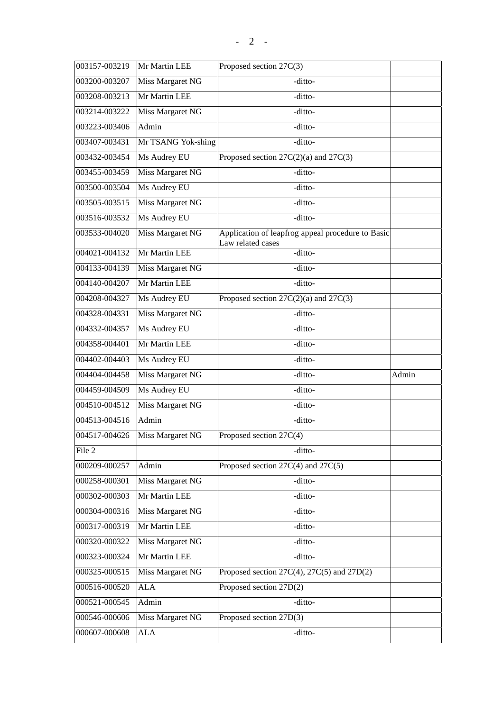| 003157-003219 | Mr Martin LEE           | Proposed section 27C(3)                                                |       |
|---------------|-------------------------|------------------------------------------------------------------------|-------|
| 003200-003207 | Miss Margaret NG        | -ditto-                                                                |       |
| 003208-003213 | Mr Martin LEE           | -ditto-                                                                |       |
| 003214-003222 | <b>Miss Margaret NG</b> | -ditto-                                                                |       |
| 003223-003406 | Admin                   | -ditto-                                                                |       |
| 003407-003431 | Mr TSANG Yok-shing      | -ditto-                                                                |       |
| 003432-003454 | Ms Audrey EU            | Proposed section $27C(2)(a)$ and $27C(3)$                              |       |
| 003455-003459 | Miss Margaret NG        | -ditto-                                                                |       |
| 003500-003504 | Ms Audrey EU            | -ditto-                                                                |       |
| 003505-003515 | <b>Miss Margaret NG</b> | -ditto-                                                                |       |
| 003516-003532 | Ms Audrey EU            | -ditto-                                                                |       |
| 003533-004020 | <b>Miss Margaret NG</b> | Application of leapfrog appeal procedure to Basic<br>Law related cases |       |
| 004021-004132 | Mr Martin LEE           | -ditto-                                                                |       |
| 004133-004139 | <b>Miss Margaret NG</b> | -ditto-                                                                |       |
| 004140-004207 | Mr Martin LEE           | -ditto-                                                                |       |
| 004208-004327 | Ms Audrey EU            | Proposed section $27C(2)(a)$ and $27C(3)$                              |       |
| 004328-004331 | Miss Margaret NG        | -ditto-                                                                |       |
| 004332-004357 | Ms Audrey EU            | -ditto-                                                                |       |
| 004358-004401 | Mr Martin LEE           | -ditto-                                                                |       |
| 004402-004403 | Ms Audrey EU            | -ditto-                                                                |       |
| 004404-004458 | Miss Margaret NG        | -ditto-                                                                | Admin |
| 004459-004509 | Ms Audrey EU            | -ditto-                                                                |       |
| 004510-004512 | <b>Miss Margaret NG</b> | -ditto-                                                                |       |
| 004513-004516 | Admin                   | -ditto-                                                                |       |
| 004517-004626 | Miss Margaret NG        | Proposed section 27C(4)                                                |       |
| File 2        |                         | -ditto-                                                                |       |
| 000209-000257 | Admin                   | Proposed section $27C(4)$ and $27C(5)$                                 |       |
| 000258-000301 | Miss Margaret NG        | -ditto-                                                                |       |
| 000302-000303 |                         |                                                                        |       |
|               | Mr Martin LEE           | -ditto-                                                                |       |
| 000304-000316 | <b>Miss Margaret NG</b> | -ditto-                                                                |       |
| 000317-000319 | Mr Martin LEE           | -ditto-                                                                |       |
| 000320-000322 | Miss Margaret NG        | -ditto-                                                                |       |
| 000323-000324 | Mr Martin LEE           | -ditto-                                                                |       |
| 000325-000515 | Miss Margaret NG        | Proposed section $27C(4)$ , $27C(5)$ and $27D(2)$                      |       |
| 000516-000520 | <b>ALA</b>              | Proposed section 27D(2)                                                |       |
| 000521-000545 | Admin                   | -ditto-                                                                |       |
| 000546-000606 | Miss Margaret NG        | Proposed section 27D(3)                                                |       |